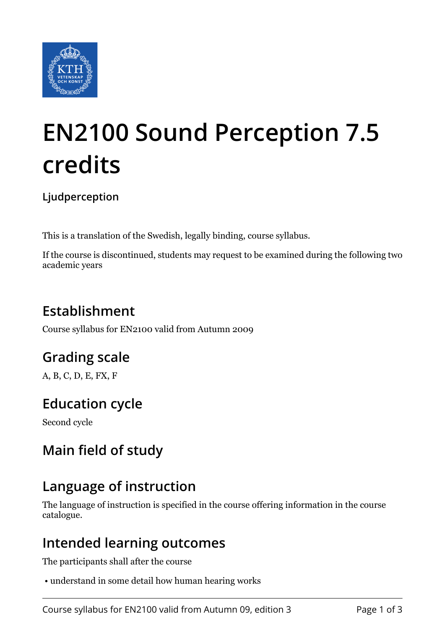

# **EN2100 Sound Perception 7.5 credits**

**Ljudperception**

This is a translation of the Swedish, legally binding, course syllabus.

If the course is discontinued, students may request to be examined during the following two academic years

# **Establishment**

Course syllabus for EN2100 valid from Autumn 2009

## **Grading scale**

A, B, C, D, E, FX, F

## **Education cycle**

Second cycle

## **Main field of study**

## **Language of instruction**

The language of instruction is specified in the course offering information in the course catalogue.

## **Intended learning outcomes**

The participants shall after the course

• understand in some detail how human hearing works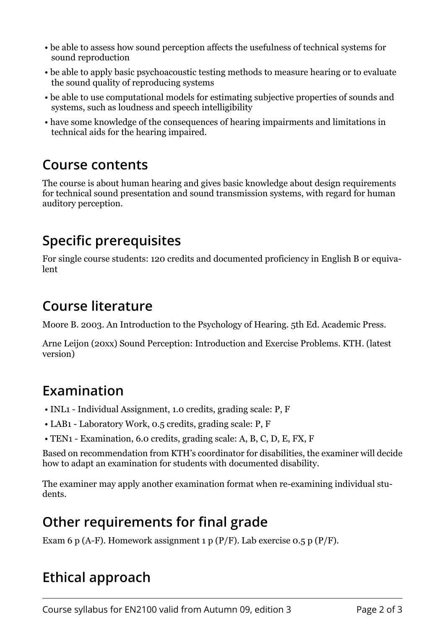- be able to assess how sound perception affects the usefulness of technical systems for sound reproduction
- be able to apply basic psychoacoustic testing methods to measure hearing or to evaluate the sound quality of reproducing systems
- be able to use computational models for estimating subjective properties of sounds and systems, such as loudness and speech intelligibility
- have some knowledge of the consequences of hearing impairments and limitations in technical aids for the hearing impaired.

#### **Course contents**

The course is about human hearing and gives basic knowledge about design requirements for technical sound presentation and sound transmission systems, with regard for human auditory perception.

## **Specific prerequisites**

For single course students: 120 credits and documented proficiency in English B or equivalent

## **Course literature**

Moore B. 2003. An Introduction to the Psychology of Hearing. 5th Ed. Academic Press.

Arne Leijon (20xx) Sound Perception: Introduction and Exercise Problems. KTH. (latest version)

# **Examination**

- INL1 Individual Assignment, 1.0 credits, grading scale: P, F
- LAB1 Laboratory Work, 0.5 credits, grading scale: P, F
- TEN1 Examination, 6.0 credits, grading scale: A, B, C, D, E, FX, F

Based on recommendation from KTH's coordinator for disabilities, the examiner will decide how to adapt an examination for students with documented disability.

The examiner may apply another examination format when re-examining individual students.

# **Other requirements for final grade**

Exam 6 p (A-F). Homework assignment 1 p (P/F). Lab exercise  $0.5$  p (P/F).

## **Ethical approach**